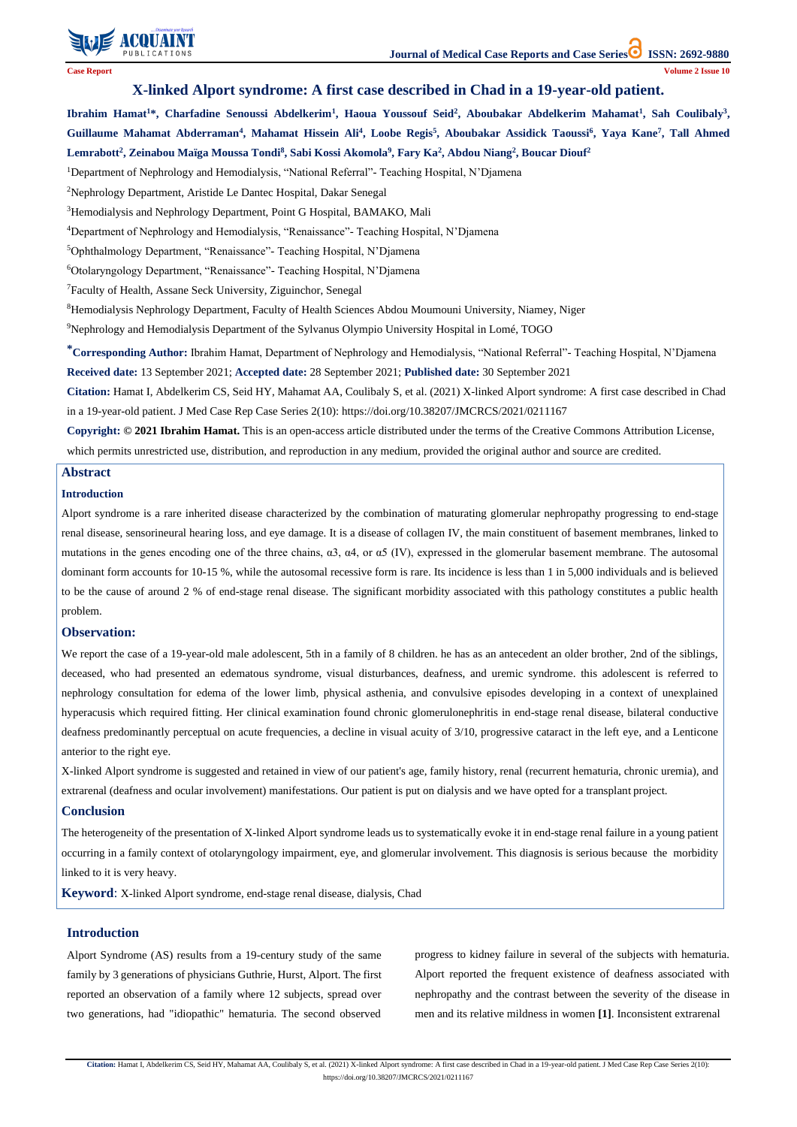

**Citation:** Hamat I, Abdelkerim CS, Seid HY, Mahamat AA, Coulibaly S, et al. (2021) X-linked Alport syndrome: A first case described in Chad in a 19-year-old patient. J Med Case Rep Case Series 2(10): https://doi.org/10.38207/JMCRCS/2021/0211167

# **X-linked Alport syndrome: A first case described in Chad in a 19-year-old patient.**

Ibrahim Hamat<sup>1\*</sup>, Charfadine Senoussi Abdelkerim<sup>1</sup>, Haoua Youssouf Seid<sup>2</sup>, Aboubakar Abdelkerim Mahamat<sup>1</sup>, Sah Coulibaly<sup>3</sup>, **Guillaume Mahamat Abderraman<sup>4</sup> , Mahamat Hissein Ali<sup>4</sup> , Loobe Regis<sup>5</sup> , Aboubakar Assidick Taoussi<sup>6</sup> , Yaya Kane<sup>7</sup> , Tall Ahmed Lemrabott<sup>2</sup> , Zeinabou Maïga Moussa Tondi<sup>8</sup> , Sabi Kossi Akomola<sup>9</sup> , Fary Ka<sup>2</sup> , Abdou Niang<sup>2</sup> , Boucar Diouf<sup>2</sup>**

<sup>1</sup>Department of Nephrology and Hemodialysis, "National Referral"- Teaching Hospital, N'Djamena

<sup>2</sup>Nephrology Department, Aristide Le Dantec Hospital, Dakar Senegal

<sup>3</sup>Hemodialysis and Nephrology Department, Point G Hospital, BAMAKO, Mali

<sup>4</sup>Department of Nephrology and Hemodialysis, "Renaissance"- Teaching Hospital, N'Djamena

<sup>5</sup>Ophthalmology Department, "Renaissance"- Teaching Hospital, N'Djamena

<sup>6</sup>Otolaryngology Department, "Renaissance"- Teaching Hospital, N'Djamena

<sup>7</sup>Faculty of Health, Assane Seck University, Ziguinchor, Senegal

<sup>8</sup>Hemodialysis Nephrology Department, Faculty of Health Sciences Abdou Moumouni University, Niamey, Niger

<sup>9</sup>Nephrology and Hemodialysis Department of the Sylvanus Olympio University Hospital in Lomé, TOGO

**\*Corresponding Author:** Ibrahim Hamat, Department of Nephrology and Hemodialysis, "National Referral"- Teaching Hospital, N'Djamena **Received date:** 13 September 2021; **Accepted date:** 28 September 2021; **Published date:** 30 September 2021

**Citation:** Hamat I, Abdelkerim CS, Seid HY, Mahamat AA, Coulibaly S, et al. (2021) X-linked Alport syndrome: A first case described in Chad in a 19-year-old patient. J Med Case Rep Case Series 2(10): https://doi.org/10.38207/JMCRCS/2021/0211167

**Copyright: © 2021 Ibrahim Hamat.** This is an open-access article distributed under the terms of the Creative Commons Attribution License, which permits unrestricted use, distribution, and reproduction in any medium, provided the original author and source are credited.

### **Abstract**

### **Introduction**

Alport syndrome is a rare inherited disease characterized by the combination of maturating glomerular nephropathy progressing to end-stage renal disease, sensorineural hearing loss, and eye damage. It is a disease of collagen IV, the main constituent of basement membranes, linked to mutations in the genes encoding one of the three chains, α3, α4, or α5 (IV), expressed in the glomerular basement membrane. The autosomal dominant form accounts for 10-15 %, while the autosomal recessive form is rare. Its incidence is less than 1 in 5,000 individuals and is believed to be the cause of around 2 % of end-stage renal disease. The significant morbidity associated with this pathology constitutes a public health problem.

### **Observation:**

We report the case of a 19-year-old male adolescent, 5th in a family of 8 children. he has as an antecedent an older brother, 2nd of the siblings, deceased, who had presented an edematous syndrome, visual disturbances, deafness, and uremic syndrome. this adolescent is referred to nephrology consultation for edema of the lower limb, physical asthenia, and convulsive episodes developing in a context of unexplained hyperacusis which required fitting. Her clinical examination found chronic glomerulonephritis in end-stage renal disease, bilateral conductive deafness predominantly perceptual on acute frequencies, a decline in visual acuity of 3/10, progressive cataract in the left eye, and a Lenticone anterior to the right eye.

X-linked Alport syndrome is suggested and retained in view of our patient's age, family history, renal (recurrent hematuria, chronic uremia), and extrarenal (deafness and ocular involvement) manifestations. Our patient is put on dialysis and we have opted for a transplant project.

## **Conclusion**

The heterogeneity of the presentation of X-linked Alport syndrome leads us to systematically evoke it in end-stage renal failure in a young patient occurring in a family context of otolaryngology impairment, eye, and glomerular involvement. This diagnosis is serious because the morbidity linked to it is very heavy.

**Keyword**: X-linked Alport syndrome, end-stage renal disease, dialysis, Chad

#### **Introduction**

Alport Syndrome (AS) results from a 19-century study of the same family by 3 generations of physicians Guthrie, Hurst, Alport. The first reported an observation of a family where 12 subjects, spread over two generations, had "idiopathic" hematuria. The second observed

progress to kidney failure in several of the subjects with hematuria. Alport reported the frequent existence of deafness associated with nephropathy and the contrast between the severity of the disease in men and its relative mildness in women **[1]**. Inconsistent extrarenal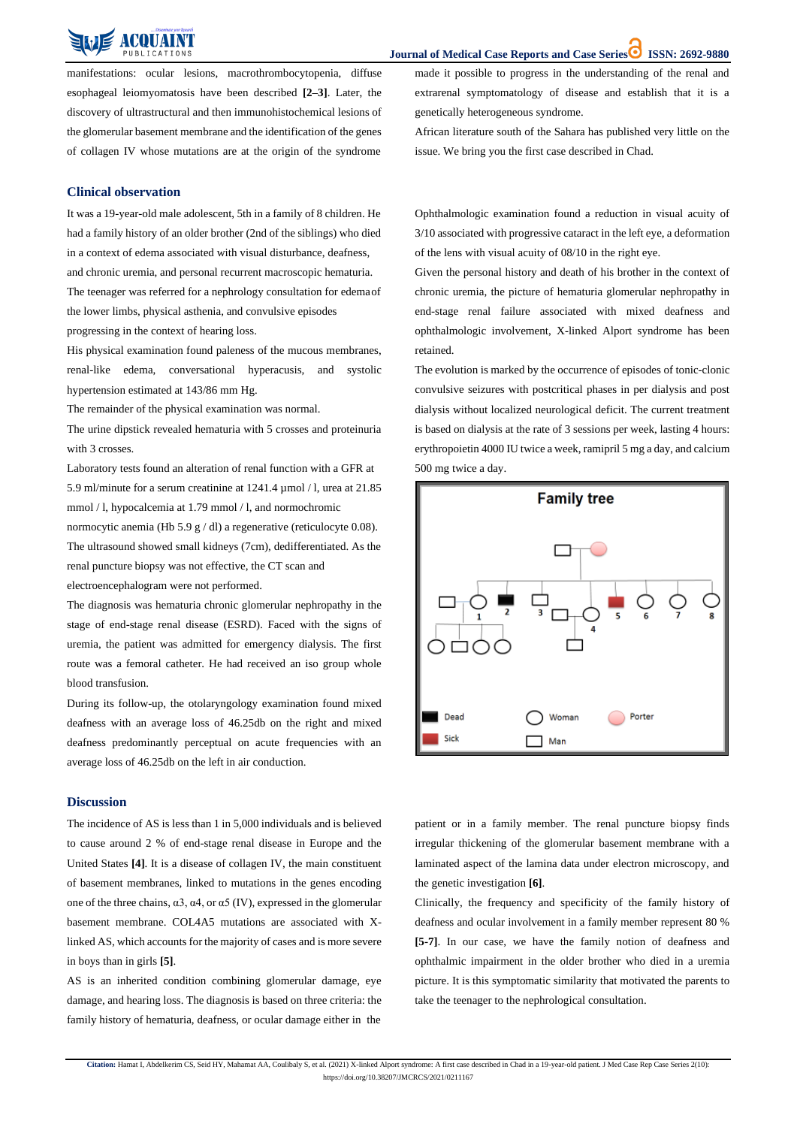**Journal of Medical Case Reports and Case Series ISSN: 2692-9880**

**Citation:** Hamat I, Abdelkerim CS, Seid HY, Mahamat AA, Coulibaly S, et al. (2021) X-linked Alport syndrome: A first case described in Chad in a 19-year-old patient. J Med Case Rep Case Series 2(10): https://doi.org/10.38207/JMCRCS/2021/0211167

manifestations: ocular lesions, macrothrombocytopenia, diffuse esophageal leiomyomatosis have been described **[2–3]**. Later, the discovery of ultrastructural and then immunohistochemical lesions of the glomerular basement membrane and the identification of the genes of collagen IV whose mutations are at the origin of the syndrome

made it possible to progress in the understanding of the renal and extrarenal symptomatology of disease and establish that it is a genetically heterogeneous syndrome.

The urine dipstick revealed hematuria with 5 crosses and proteinuria with 3 crosses.

African literature south of the Sahara has published very little on the issue. We bring you the first case described in Chad.

#### **Clinical observation**

It was a 19-year-old male adolescent, 5th in a family of 8 children. He had a family history of an older brother (2nd of the siblings) who died in a context of edema associated with visual disturbance, deafness, and chronic uremia, and personal recurrent macroscopic hematuria. The teenager was referred for a nephrology consultation for edemaof the lower limbs, physical asthenia, and convulsive episodes progressing in the context of hearing loss.

His physical examination found paleness of the mucous membranes, renal-like edema, conversational hyperacusis, and systolic hypertension estimated at 143/86 mm Hg.

The remainder of the physical examination was normal.

Laboratory tests found an alteration of renal function with a GFR at 5.9 ml/minute for a serum creatinine at 1241.4 µmol / l, urea at 21.85 mmol / l, hypocalcemia at 1.79 mmol / l, and normochromic normocytic anemia (Hb 5.9 g / dl) a regenerative (reticulocyte 0.08). The ultrasound showed small kidneys (7cm), dedifferentiated. As the renal puncture biopsy was not effective, the CT scan and electroencephalogram were not performed.

The diagnosis was hematuria chronic glomerular nephropathy in the stage of end-stage renal disease (ESRD). Faced with the signs of uremia, the patient was admitted for emergency dialysis. The first route was a femoral catheter. He had received an iso group whole blood transfusion.

During its follow-up, the otolaryngology examination found mixed deafness with an average loss of 46.25db on the right and mixed deafness predominantly perceptual on acute frequencies with an average loss of 46.25db on the left in air conduction.

Ophthalmologic examination found a reduction in visual acuity of 3/10 associated with progressive cataract in the left eye, a deformation of the lens with visual acuity of 08/10 in the right eye.

Given the personal history and death of his brother in the context of chronic uremia, the picture of hematuria glomerular nephropathy in end-stage renal failure associated with mixed deafness and ophthalmologic involvement, X-linked Alport syndrome has been retained.

The evolution is marked by the occurrence of episodes of tonic-clonic convulsive seizures with postcritical phases in per dialysis and post dialysis without localized neurological deficit. The current treatment is based on dialysis at the rate of 3 sessions per week, lasting 4 hours: erythropoietin 4000 IU twice a week, ramipril 5 mg a day, and calcium 500 mg twice a day.



#### **Discussion**

The incidence of AS is less than 1 in 5,000 individuals and is believed to cause around 2 % of end-stage renal disease in Europe and the

United States **[4]**. It is a disease of collagen IV, the main constituent of basement membranes, linked to mutations in the genes encoding one of the three chains,  $\alpha$ 3,  $\alpha$ 4, or  $\alpha$ 5 (IV), expressed in the glomerular basement membrane. COL4A5 mutations are associated with Xlinked AS, which accounts for the majority of cases and is more severe in boys than in girls **[5]**. AS is an inherited condition combining glomerular damage, eye damage, and hearing loss. The diagnosis is based on three criteria: the family history of hematuria, deafness, or ocular damage either in the patient or in a family member. The renal puncture biopsy finds irregular thickening of the glomerular basement membrane with a

laminated aspect of the lamina data under electron microscopy, and the genetic investigation **[6]**.

Clinically, the frequency and specificity of the family history of deafness and ocular involvement in a family member represent 80 % **[5-7]**. In our case, we have the family notion of deafness and ophthalmic impairment in the older brother who died in a uremia picture. It is this symptomatic similarity that motivated the parents to take the teenager to the nephrological consultation.